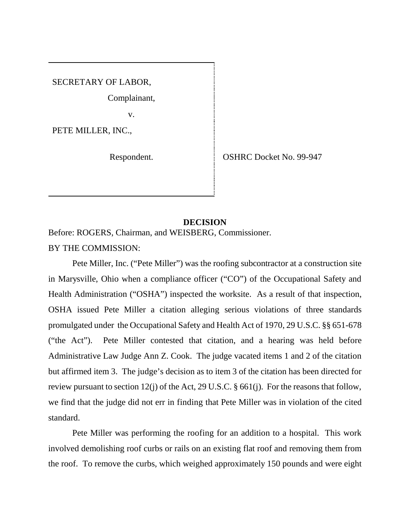SECRETARY OF LABOR,

Complainant,

 $\mathbf{v}$ .

PETE MILLER, INC.,

Respondent. Superior Section SSHRC Docket No. 99-947

## **DECISION**

Before: ROGERS, Chairman, and WEISBERG, Commissioner.

BY THE COMMISSION:

Pete Miller, Inc. ("Pete Miller") was the roofing subcontractor at a construction site in Marysville, Ohio when a compliance officer ("CO") of the Occupational Safety and Health Administration ("OSHA") inspected the worksite. As a result of that inspection, OSHA issued Pete Miller a citation alleging serious violations of three standards promulgated under the Occupational Safety and Health Act of 1970, 29 U.S.C. §§ 651-678 ("the Act"). Pete Miller contested that citation, and a hearing was held before Administrative Law Judge Ann Z. Cook. The judge vacated items 1 and 2 of the citation but affirmed item 3. The judge's decision as to item 3 of the citation has been directed for review pursuant to section 12(j) of the Act, 29 U.S.C. § 661(j). For the reasons that follow, we find that the judge did not err in finding that Pete Miller was in violation of the cited standard.

Pete Miller was performing the roofing for an addition to a hospital. This work involved demolishing roof curbs or rails on an existing flat roof and removing them from the roof. To remove the curbs, which weighed approximately 150 pounds and were eight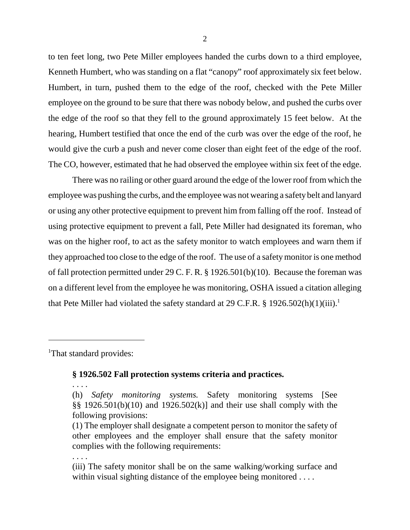to ten feet long, two Pete Miller employees handed the curbs down to a third employee, Kenneth Humbert, who was standing on a flat "canopy" roof approximately six feet below. Humbert, in turn, pushed them to the edge of the roof, checked with the Pete Miller employee on the ground to be sure that there was nobody below, and pushed the curbs over the edge of the roof so that they fell to the ground approximately 15 feet below. At the hearing, Humbert testified that once the end of the curb was over the edge of the roof, he would give the curb a push and never come closer than eight feet of the edge of the roof. The CO, however, estimated that he had observed the employee within six feet of the edge.

There was no railing or other guard around the edge of the lower roof from which the employee was pushing the curbs, and the employee was not wearing a safety belt and lanyard or using any other protective equipment to prevent him from falling off the roof. Instead of using protective equipment to prevent a fall, Pete Miller had designated its foreman, who was on the higher roof, to act as the safety monitor to watch employees and warn them if they approached too close to the edge of the roof. The use of a safety monitor is one method of fall protection permitted under 29 C. F. R. § 1926.501(b)(10). Because the foreman was on a different level from the employee he was monitoring, OSHA issued a citation alleging that Pete Miller had violated the safety standard at 29 C.F.R. § 1926.502(h)(1)(iii).<sup>1</sup>

<sup>1</sup>That standard provides:

## **§ 1926.502 Fall protection systems criteria and practices.**

. . . .

. . . .

<sup>(</sup>h) *Safety monitoring systems.* Safety monitoring systems [See §§ 1926.501(b)(10) and 1926.502(k)] and their use shall comply with the following provisions:

<sup>(1)</sup> The employer shall designate a competent person to monitor the safety of other employees and the employer shall ensure that the safety monitor complies with the following requirements:

<sup>(</sup>iii) The safety monitor shall be on the same walking/working surface and within visual sighting distance of the employee being monitored . . . .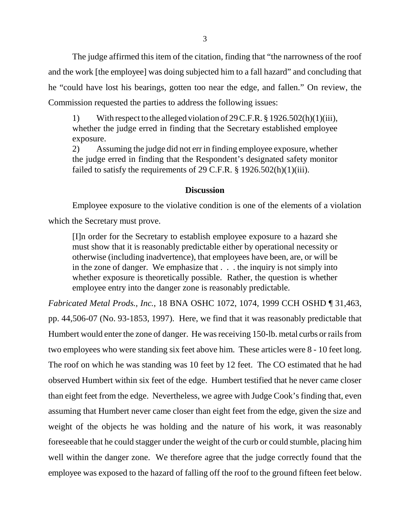The judge affirmed this item of the citation, finding that "the narrowness of the roof and the work [the employee] was doing subjected him to a fall hazard" and concluding that he "could have lost his bearings, gotten too near the edge, and fallen." On review, the Commission requested the parties to address the following issues:

1) With respect to the alleged violation of 29 C.F.R. § 1926.502(h)(1)(iii), whether the judge erred in finding that the Secretary established employee exposure.

2) Assuming the judge did not err in finding employee exposure, whether the judge erred in finding that the Respondent's designated safety monitor failed to satisfy the requirements of 29 C.F.R. § 1926.502(h)(1)(iii).

### **Discussion**

Employee exposure to the violative condition is one of the elements of a violation which the Secretary must prove.

[I]n order for the Secretary to establish employee exposure to a hazard she must show that it is reasonably predictable either by operational necessity or otherwise (including inadvertence), that employees have been, are, or will be in the zone of danger. We emphasize that . . . the inquiry is not simply into whether exposure is theoretically possible. Rather, the question is whether employee entry into the danger zone is reasonably predictable.

*Fabricated Metal Prods., Inc.*, 18 BNA OSHC 1072, 1074, 1999 CCH OSHD ¶ 31,463, pp. 44,506-07 (No. 93-1853, 1997). Here, we find that it was reasonably predictable that Humbert would enter the zone of danger. He was receiving 150-lb. metal curbs or rails from two employees who were standing six feet above him. These articles were 8 - 10 feet long. The roof on which he was standing was 10 feet by 12 feet. The CO estimated that he had observed Humbert within six feet of the edge. Humbert testified that he never came closer than eight feet from the edge. Nevertheless, we agree with Judge Cook's finding that, even assuming that Humbert never came closer than eight feet from the edge, given the size and weight of the objects he was holding and the nature of his work, it was reasonably foreseeable that he could stagger under the weight of the curb or could stumble, placing him well within the danger zone. We therefore agree that the judge correctly found that the employee was exposed to the hazard of falling off the roof to the ground fifteen feet below.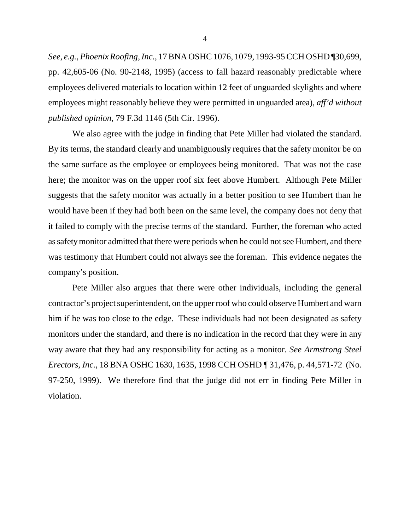*See*, *e.g.*, *Phoenix Roofing, Inc.*, 17 BNA OSHC 1076, 1079, 1993-95 CCH OSHD ¶30,699, pp. 42,605-06 (No. 90-2148, 1995) (access to fall hazard reasonably predictable where employees delivered materials to location within 12 feet of unguarded skylights and where employees might reasonably believe they were permitted in unguarded area), *aff'd without published opinion*, 79 F.3d 1146 (5th Cir. 1996).

We also agree with the judge in finding that Pete Miller had violated the standard. By its terms, the standard clearly and unambiguously requires that the safety monitor be on the same surface as the employee or employees being monitored. That was not the case here; the monitor was on the upper roof six feet above Humbert. Although Pete Miller suggests that the safety monitor was actually in a better position to see Humbert than he would have been if they had both been on the same level, the company does not deny that it failed to comply with the precise terms of the standard. Further, the foreman who acted as safety monitor admitted that there were periods when he could not see Humbert, and there was testimony that Humbert could not always see the foreman. This evidence negates the company's position.

Pete Miller also argues that there were other individuals, including the general contractor's project superintendent, on the upper roof who could observe Humbert and warn him if he was too close to the edge. These individuals had not been designated as safety monitors under the standard, and there is no indication in the record that they were in any way aware that they had any responsibility for acting as a monitor. *See Armstrong Steel Erectors, Inc.*, 18 BNA OSHC 1630, 1635, 1998 CCH OSHD ¶ 31,476, p. 44,571-72 (No. 97-250, 1999). We therefore find that the judge did not err in finding Pete Miller in violation.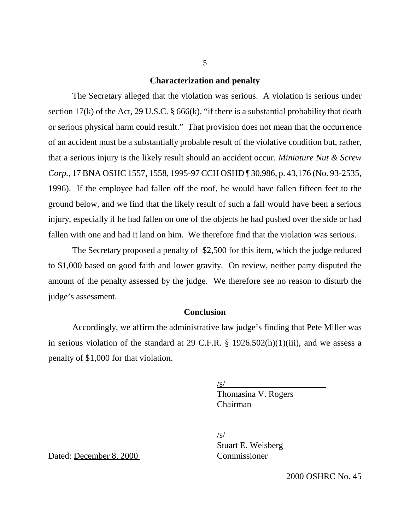### **Characterization and penalty**

The Secretary alleged that the violation was serious. A violation is serious under section 17(k) of the Act, 29 U.S.C.  $\S$  666(k), "if there is a substantial probability that death or serious physical harm could result." That provision does not mean that the occurrence of an accident must be a substantially probable result of the violative condition but, rather, that a serious injury is the likely result should an accident occur. *Miniature Nut & Screw Corp.*, 17 BNA OSHC 1557, 1558, 1995-97 CCH OSHD ¶ 30,986, p. 43,176 (No. 93-2535, 1996). If the employee had fallen off the roof, he would have fallen fifteen feet to the ground below, and we find that the likely result of such a fall would have been a serious injury, especially if he had fallen on one of the objects he had pushed over the side or had fallen with one and had it land on him. We therefore find that the violation was serious.

The Secretary proposed a penalty of \$2,500 for this item, which the judge reduced to \$1,000 based on good faith and lower gravity. On review, neither party disputed the amount of the penalty assessed by the judge. We therefore see no reason to disturb the judge's assessment.

### **Conclusion**

Accordingly, we affirm the administrative law judge's finding that Pete Miller was in serious violation of the standard at 29 C.F.R. § 1926.502(h)(1)(iii), and we assess a penalty of \$1,000 for that violation.

 $\sqrt{s/}$ 

Thomasina V. Rogers Chairman

/s/

Stuart E. Weisberg

Dated: December 8, 2000 Commissioner

2000 OSHRC No. 45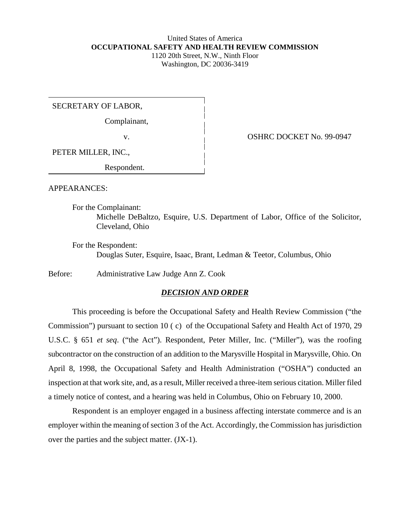### United States of America **OCCUPATIONAL SAFETY AND HEALTH REVIEW COMMISSION** 1120 20th Street, N.W., Ninth Floor Washington, DC 20036-3419

SECRETARY OF LABOR,

Complainant,

PETER MILLER, INC.,

Respondent.

v. COSHRC DOCKET No. 99-0947

APPEARANCES:

For the Complainant: Michelle DeBaltzo, Esquire, U.S. Department of Labor, Office of the Solicitor, Cleveland, Ohio

For the Respondent: Douglas Suter, Esquire, Isaac, Brant, Ledman & Teetor, Columbus, Ohio

Before: Administrative Law Judge Ann Z. Cook

### *DECISION AND ORDER*

This proceeding is before the Occupational Safety and Health Review Commission ("the Commission") pursuant to section 10 ( c) of the Occupational Safety and Health Act of 1970, 29 U.S.C. § 651 *et seq*. ("the Act"). Respondent, Peter Miller, Inc. ("Miller"), was the roofing subcontractor on the construction of an addition to the Marysville Hospital in Marysville, Ohio. On April 8, 1998, the Occupational Safety and Health Administration ("OSHA") conducted an inspection at that work site, and, as a result, Miller received a three-item serious citation. Miller filed a timely notice of contest, and a hearing was held in Columbus, Ohio on February 10, 2000.

Respondent is an employer engaged in a business affecting interstate commerce and is an employer within the meaning of section 3 of the Act. Accordingly, the Commission has jurisdiction over the parties and the subject matter. (JX-1).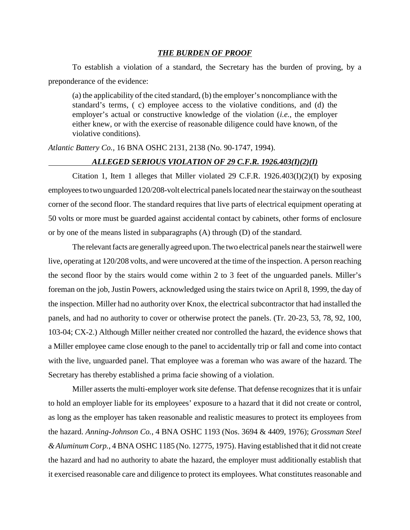#### *THE BURDEN OF PROOF*

To establish a violation of a standard, the Secretary has the burden of proving, by a preponderance of the evidence:

(a) the applicability of the cited standard, (b) the employer's noncompliance with the standard's terms, ( c) employee access to the violative conditions, and (d) the employer's actual or constructive knowledge of the violation (*i.e.*, the employer either knew, or with the exercise of reasonable diligence could have known, of the violative conditions).

*Atlantic Battery Co.,* 16 BNA OSHC 2131, 2138 (No. 90-1747, 1994).

## *ALLEGED SERIOUS VIOLATION OF 29 C.F.R. 1926.403(I)(2)(I)*

Citation 1, Item 1 alleges that Miller violated 29 C.F.R. 1926.403(I)(2)(I) by exposing employees to two unguarded 120/208-volt electrical panels located near the stairway on the southeast corner of the second floor. The standard requires that live parts of electrical equipment operating at 50 volts or more must be guarded against accidental contact by cabinets, other forms of enclosure or by one of the means listed in subparagraphs (A) through (D) of the standard.

The relevant facts are generally agreed upon. The two electrical panels near the stairwell were live, operating at 120/208 volts, and were uncovered at the time of the inspection. A person reaching the second floor by the stairs would come within 2 to 3 feet of the unguarded panels. Miller's foreman on the job, Justin Powers, acknowledged using the stairs twice on April 8, 1999, the day of the inspection. Miller had no authority over Knox, the electrical subcontractor that had installed the panels, and had no authority to cover or otherwise protect the panels. (Tr. 20-23, 53, 78, 92, 100, 103-04; CX-2.) Although Miller neither created nor controlled the hazard, the evidence shows that a Miller employee came close enough to the panel to accidentally trip or fall and come into contact with the live, unguarded panel. That employee was a foreman who was aware of the hazard. The Secretary has thereby established a prima facie showing of a violation.

Miller asserts the multi-employer work site defense. That defense recognizes that it is unfair to hold an employer liable for its employees' exposure to a hazard that it did not create or control, as long as the employer has taken reasonable and realistic measures to protect its employees from the hazard. *Anning-Johnson Co.*, 4 BNA OSHC 1193 (Nos. 3694 & 4409, 1976); *Grossman Steel & Aluminum Corp.*, 4 BNA OSHC 1185 (No. 12775, 1975). Having established that it did not create the hazard and had no authority to abate the hazard, the employer must additionally establish that it exercised reasonable care and diligence to protect its employees. What constitutes reasonable and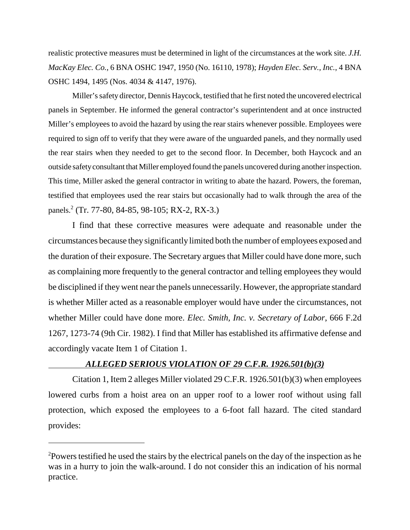realistic protective measures must be determined in light of the circumstances at the work site. *J.H. MacKay Elec. Co.*, 6 BNA OSHC 1947, 1950 (No. 16110, 1978); *Hayden Elec. Serv., Inc.*, 4 BNA OSHC 1494, 1495 (Nos. 4034 & 4147, 1976).

Miller's safety director, Dennis Haycock, testified that he first noted the uncovered electrical panels in September. He informed the general contractor's superintendent and at once instructed Miller's employees to avoid the hazard by using the rear stairs whenever possible. Employees were required to sign off to verify that they were aware of the unguarded panels, and they normally used the rear stairs when they needed to get to the second floor. In December, both Haycock and an outside safety consultant that Miller employed found the panels uncovered during another inspection. This time, Miller asked the general contractor in writing to abate the hazard. Powers, the foreman, testified that employees used the rear stairs but occasionally had to walk through the area of the panels.<sup>2</sup> (Tr. 77-80, 84-85, 98-105; RX-2, RX-3.)

I find that these corrective measures were adequate and reasonable under the circumstances because they significantly limited both the number of employees exposed and the duration of their exposure. The Secretary argues that Miller could have done more, such as complaining more frequently to the general contractor and telling employees they would be disciplined if they went near the panels unnecessarily. However, the appropriate standard is whether Miller acted as a reasonable employer would have under the circumstances, not whether Miller could have done more. *Elec. Smith, Inc. v. Secretary of Labor*, 666 F.2d 1267, 1273-74 (9th Cir. 1982). I find that Miller has established its affirmative defense and accordingly vacate Item 1 of Citation 1.

## *ALLEGED SERIOUS VIOLATION OF 29 C.F.R. 1926.501(b)(3)*

Citation 1, Item 2 alleges Miller violated 29 C.F.R. 1926.501(b)(3) when employees lowered curbs from a hoist area on an upper roof to a lower roof without using fall protection, which exposed the employees to a 6-foot fall hazard. The cited standard provides:

 $2$ Powers testified he used the stairs by the electrical panels on the day of the inspection as he was in a hurry to join the walk-around. I do not consider this an indication of his normal practice.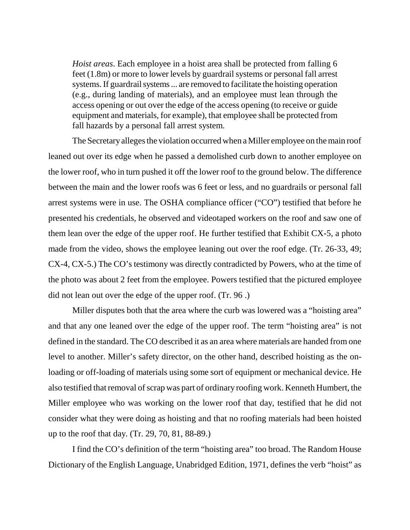*Hoist areas*. Each employee in a hoist area shall be protected from falling 6 feet (1.8m) or more to lower levels by guardrail systems or personal fall arrest systems. If guardrail systems ... are removed to facilitate the hoisting operation (e.g., during landing of materials), and an employee must lean through the access opening or out over the edge of the access opening (to receive or guide equipment and materials, for example), that employee shall be protected from fall hazards by a personal fall arrest system.

The Secretary alleges the violation occurred when a Miller employee on the main roof leaned out over its edge when he passed a demolished curb down to another employee on the lower roof, who in turn pushed it off the lower roof to the ground below. The difference between the main and the lower roofs was 6 feet or less, and no guardrails or personal fall arrest systems were in use. The OSHA compliance officer ("CO") testified that before he presented his credentials, he observed and videotaped workers on the roof and saw one of them lean over the edge of the upper roof. He further testified that Exhibit CX-5, a photo made from the video, shows the employee leaning out over the roof edge. (Tr. 26-33, 49; CX-4, CX-5.) The CO's testimony was directly contradicted by Powers, who at the time of the photo was about 2 feet from the employee. Powers testified that the pictured employee did not lean out over the edge of the upper roof. (Tr. 96 .)

Miller disputes both that the area where the curb was lowered was a "hoisting area" and that any one leaned over the edge of the upper roof. The term "hoisting area" is not defined in the standard. The CO described it as an area where materials are handed from one level to another. Miller's safety director, on the other hand, described hoisting as the onloading or off-loading of materials using some sort of equipment or mechanical device. He also testified that removal of scrap was part of ordinary roofing work. Kenneth Humbert, the Miller employee who was working on the lower roof that day, testified that he did not consider what they were doing as hoisting and that no roofing materials had been hoisted up to the roof that day. (Tr. 29, 70, 81, 88-89.)

I find the CO's definition of the term "hoisting area" too broad. The Random House Dictionary of the English Language, Unabridged Edition, 1971, defines the verb "hoist" as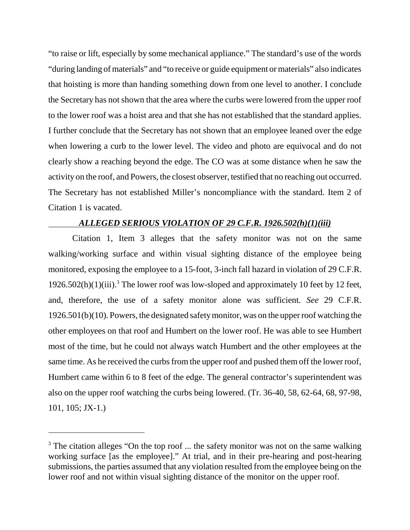"to raise or lift, especially by some mechanical appliance." The standard's use of the words "during landing of materials" and "to receive or guide equipment or materials" also indicates that hoisting is more than handing something down from one level to another. I conclude the Secretary has not shown that the area where the curbs were lowered from the upper roof to the lower roof was a hoist area and that she has not established that the standard applies. I further conclude that the Secretary has not shown that an employee leaned over the edge when lowering a curb to the lower level. The video and photo are equivocal and do not clearly show a reaching beyond the edge. The CO was at some distance when he saw the activity on the roof, and Powers, the closest observer, testified that no reaching out occurred. The Secretary has not established Miller's noncompliance with the standard. Item 2 of Citation 1 is vacated.

## *ALLEGED SERIOUS VIOLATION OF 29 C.F.R. 1926.502(h)(1)(iii)*

Citation 1, Item 3 alleges that the safety monitor was not on the same walking/working surface and within visual sighting distance of the employee being monitored, exposing the employee to a 15-foot, 3-inch fall hazard in violation of 29 C.F.R. 1926.502(h)(1)(iii).<sup>3</sup> The lower roof was low-sloped and approximately 10 feet by 12 feet, and, therefore, the use of a safety monitor alone was sufficient. *See* 29 C.F.R. 1926.501(b)(10). Powers, the designated safety monitor, was on the upper roof watching the other employees on that roof and Humbert on the lower roof. He was able to see Humbert most of the time, but he could not always watch Humbert and the other employees at the same time. As he received the curbs from the upper roof and pushed them off the lower roof, Humbert came within 6 to 8 feet of the edge. The general contractor's superintendent was also on the upper roof watching the curbs being lowered. (Tr. 36-40, 58, 62-64, 68, 97-98, 101, 105; JX-1.)

 $3$  The citation alleges "On the top roof ... the safety monitor was not on the same walking working surface [as the employee]." At trial, and in their pre-hearing and post-hearing submissions, the parties assumed that any violation resulted from the employee being on the lower roof and not within visual sighting distance of the monitor on the upper roof.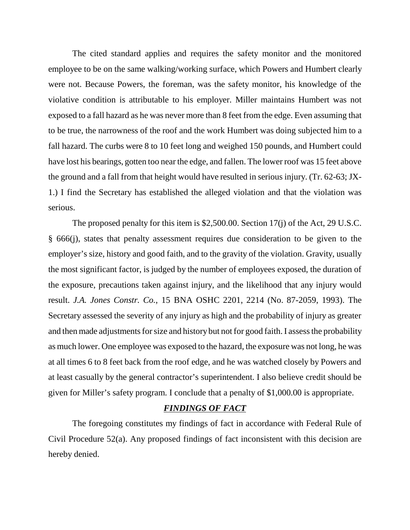The cited standard applies and requires the safety monitor and the monitored employee to be on the same walking/working surface, which Powers and Humbert clearly were not. Because Powers, the foreman, was the safety monitor, his knowledge of the violative condition is attributable to his employer. Miller maintains Humbert was not exposed to a fall hazard as he was never more than 8 feet from the edge. Even assuming that to be true, the narrowness of the roof and the work Humbert was doing subjected him to a fall hazard. The curbs were 8 to 10 feet long and weighed 150 pounds, and Humbert could have lost his bearings, gotten too near the edge, and fallen. The lower roof was 15 feet above the ground and a fall from that height would have resulted in serious injury. (Tr. 62-63; JX-1.) I find the Secretary has established the alleged violation and that the violation was serious.

The proposed penalty for this item is \$2,500.00. Section 17(j) of the Act, 29 U.S.C. § 666(j), states that penalty assessment requires due consideration to be given to the employer's size, history and good faith, and to the gravity of the violation. Gravity, usually the most significant factor, is judged by the number of employees exposed, the duration of the exposure, precautions taken against injury, and the likelihood that any injury would result. *J.A. Jones Constr. Co.,* 15 BNA OSHC 2201, 2214 (No. 87-2059, 1993). The Secretary assessed the severity of any injury as high and the probability of injury as greater and then made adjustments for size and history but not for good faith. I assess the probability as much lower. One employee was exposed to the hazard, the exposure was not long, he was at all times 6 to 8 feet back from the roof edge, and he was watched closely by Powers and at least casually by the general contractor's superintendent. I also believe credit should be given for Miller's safety program. I conclude that a penalty of \$1,000.00 is appropriate.

## *FINDINGS OF FACT*

The foregoing constitutes my findings of fact in accordance with Federal Rule of Civil Procedure 52(a). Any proposed findings of fact inconsistent with this decision are hereby denied.